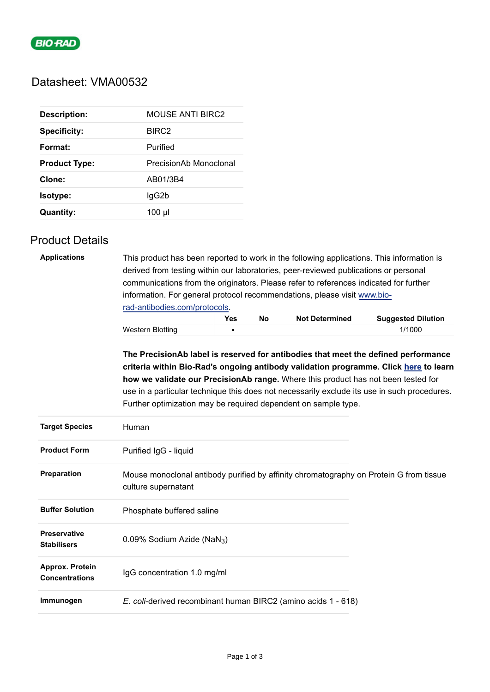

## Datasheet: VMA00532

| <b>Description:</b>  | <b>MOUSE ANTI BIRC2</b> |
|----------------------|-------------------------|
| <b>Specificity:</b>  | BIRC <sub>2</sub>       |
| Format:              | Purified                |
| <b>Product Type:</b> | PrecisionAb Monoclonal  |
| Clone:               | AB01/3B4                |
| Isotype:             | lgG2b                   |
| Quantity:            | 100 µl                  |

## Product Details

| <b>Applications</b>                      | This product has been reported to work in the following applications. This information is<br>derived from testing within our laboratories, peer-reviewed publications or personal<br>communications from the originators. Please refer to references indicated for further<br>information. For general protocol recommendations, please visit www.bio-<br>rad-antibodies.com/protocols. |            |           |                       |                                                                                                                                                                                                                                                                                                                                                                |  |  |
|------------------------------------------|-----------------------------------------------------------------------------------------------------------------------------------------------------------------------------------------------------------------------------------------------------------------------------------------------------------------------------------------------------------------------------------------|------------|-----------|-----------------------|----------------------------------------------------------------------------------------------------------------------------------------------------------------------------------------------------------------------------------------------------------------------------------------------------------------------------------------------------------------|--|--|
|                                          |                                                                                                                                                                                                                                                                                                                                                                                         | <b>Yes</b> | <b>No</b> | <b>Not Determined</b> | <b>Suggested Dilution</b>                                                                                                                                                                                                                                                                                                                                      |  |  |
|                                          | <b>Western Blotting</b>                                                                                                                                                                                                                                                                                                                                                                 | п          |           |                       | 1/1000                                                                                                                                                                                                                                                                                                                                                         |  |  |
|                                          | Further optimization may be required dependent on sample type.                                                                                                                                                                                                                                                                                                                          |            |           |                       | The PrecisionAb label is reserved for antibodies that meet the defined performance<br>criteria within Bio-Rad's ongoing antibody validation programme. Click here to learn<br>how we validate our PrecisionAb range. Where this product has not been tested for<br>use in a particular technique this does not necessarily exclude its use in such procedures. |  |  |
| <b>Target Species</b>                    | Human                                                                                                                                                                                                                                                                                                                                                                                   |            |           |                       |                                                                                                                                                                                                                                                                                                                                                                |  |  |
| <b>Product Form</b>                      | Purified IgG - liquid                                                                                                                                                                                                                                                                                                                                                                   |            |           |                       |                                                                                                                                                                                                                                                                                                                                                                |  |  |
| Preparation                              | culture supernatant                                                                                                                                                                                                                                                                                                                                                                     |            |           |                       | Mouse monoclonal antibody purified by affinity chromatography on Protein G from tissue                                                                                                                                                                                                                                                                         |  |  |
| <b>Buffer Solution</b>                   | Phosphate buffered saline                                                                                                                                                                                                                                                                                                                                                               |            |           |                       |                                                                                                                                                                                                                                                                                                                                                                |  |  |
| Preservative<br><b>Stabilisers</b>       | 0.09% Sodium Azide (NaN <sub>3</sub> )                                                                                                                                                                                                                                                                                                                                                  |            |           |                       |                                                                                                                                                                                                                                                                                                                                                                |  |  |
| Approx. Protein<br><b>Concentrations</b> | IgG concentration 1.0 mg/ml                                                                                                                                                                                                                                                                                                                                                             |            |           |                       |                                                                                                                                                                                                                                                                                                                                                                |  |  |
| Immunogen                                | E. coli-derived recombinant human BIRC2 (amino acids 1 - 618)                                                                                                                                                                                                                                                                                                                           |            |           |                       |                                                                                                                                                                                                                                                                                                                                                                |  |  |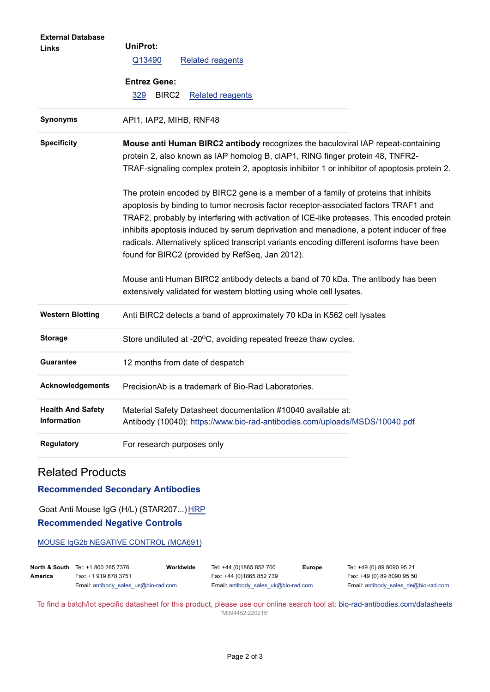| <b>External Database</b>                       |                                                                                                                                                                                                                                                                                                                                                                                                                                                                                                                     |  |  |  |  |
|------------------------------------------------|---------------------------------------------------------------------------------------------------------------------------------------------------------------------------------------------------------------------------------------------------------------------------------------------------------------------------------------------------------------------------------------------------------------------------------------------------------------------------------------------------------------------|--|--|--|--|
| Links                                          | <b>UniProt:</b>                                                                                                                                                                                                                                                                                                                                                                                                                                                                                                     |  |  |  |  |
|                                                | Q13490<br><b>Related reagents</b>                                                                                                                                                                                                                                                                                                                                                                                                                                                                                   |  |  |  |  |
|                                                | <b>Entrez Gene:</b>                                                                                                                                                                                                                                                                                                                                                                                                                                                                                                 |  |  |  |  |
|                                                | 329<br>BIRC <sub>2</sub><br><b>Related reagents</b>                                                                                                                                                                                                                                                                                                                                                                                                                                                                 |  |  |  |  |
|                                                |                                                                                                                                                                                                                                                                                                                                                                                                                                                                                                                     |  |  |  |  |
| Synonyms                                       | API1, IAP2, MIHB, RNF48                                                                                                                                                                                                                                                                                                                                                                                                                                                                                             |  |  |  |  |
| <b>Specificity</b>                             | Mouse anti Human BIRC2 antibody recognizes the baculoviral IAP repeat-containing<br>protein 2, also known as IAP homolog B, cIAP1, RING finger protein 48, TNFR2-<br>TRAF-signaling complex protein 2, apoptosis inhibitor 1 or inhibitor of apoptosis protein 2.                                                                                                                                                                                                                                                   |  |  |  |  |
|                                                | The protein encoded by BIRC2 gene is a member of a family of proteins that inhibits<br>apoptosis by binding to tumor necrosis factor receptor-associated factors TRAF1 and<br>TRAF2, probably by interfering with activation of ICE-like proteases. This encoded protein<br>inhibits apoptosis induced by serum deprivation and menadione, a potent inducer of free<br>radicals. Alternatively spliced transcript variants encoding different isoforms have been<br>found for BIRC2 (provided by RefSeq, Jan 2012). |  |  |  |  |
|                                                | Mouse anti Human BIRC2 antibody detects a band of 70 kDa. The antibody has been<br>extensively validated for western blotting using whole cell lysates.                                                                                                                                                                                                                                                                                                                                                             |  |  |  |  |
| <b>Western Blotting</b>                        | Anti BIRC2 detects a band of approximately 70 kDa in K562 cell lysates                                                                                                                                                                                                                                                                                                                                                                                                                                              |  |  |  |  |
| <b>Storage</b>                                 | Store undiluted at -20°C, avoiding repeated freeze thaw cycles.                                                                                                                                                                                                                                                                                                                                                                                                                                                     |  |  |  |  |
| <b>Guarantee</b>                               | 12 months from date of despatch                                                                                                                                                                                                                                                                                                                                                                                                                                                                                     |  |  |  |  |
| <b>Acknowledgements</b>                        | PrecisionAb is a trademark of Bio-Rad Laboratories.                                                                                                                                                                                                                                                                                                                                                                                                                                                                 |  |  |  |  |
| <b>Health And Safety</b><br><b>Information</b> | Material Safety Datasheet documentation #10040 available at:<br>Antibody (10040): https://www.bio-rad-antibodies.com/uploads/MSDS/10040.pdf                                                                                                                                                                                                                                                                                                                                                                         |  |  |  |  |
| <b>Regulatory</b>                              | For research purposes only                                                                                                                                                                                                                                                                                                                                                                                                                                                                                          |  |  |  |  |

## Related Products

## **Recommended Secondary Antibodies**

Goat Anti Mouse IgG (H/L) (STAR207...) [HRP](https://www.bio-rad-antibodies.com/polyclonal/mouse-igg-antibody-star207.html) **Recommended Negative Controls**

[MOUSE IgG2b NEGATIVE CONTROL \(MCA691\)](https://www.bio-rad-antibodies.com/control/mouse-igg2b-negative-control-mca691.html)

|         | <b>North &amp; South</b> Tel: +1 800 265 7376<br>Worldwide | Tel: +44 (0)1865 852 700<br>Europe   | Tel: +49 (0) 89 8090 95 21                    |
|---------|------------------------------------------------------------|--------------------------------------|-----------------------------------------------|
| America | Fax: +1 919 878 3751                                       | Fax: +44 (0)1865 852 739             | Fax: +49 (0) 89 8090 95 50                    |
|         | Email: antibody sales $us@bio-rad.com$                     | Email: antibody sales uk@bio-rad.com | Email: antibody sales $de@bio\text{-}rad.com$ |

To find a batch/lot specific datasheet for this product, please use our online search tool at: [bio-rad-antibodies.com/datasheets](https://bio-rad-antibodies.com/datasheets) 'M394452:220215'